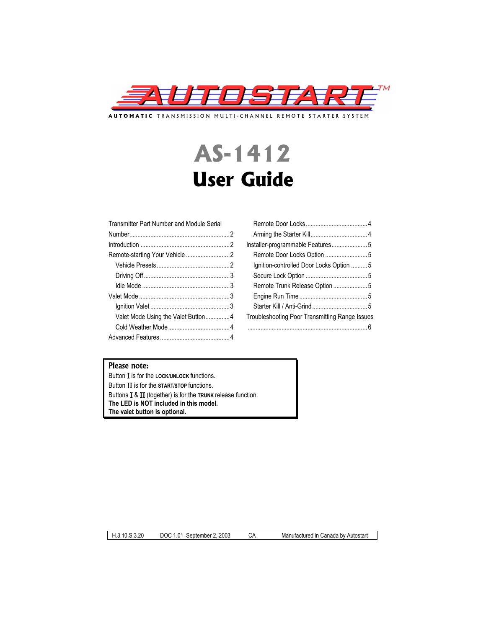

**AUTOMATIC** TRANSMISSION MULTI-CHANNEL REMOTE STARTER SYSTEM

# **AS-1412 User Guide**

| Transmitter Part Number and Module Serial |  |  |
|-------------------------------------------|--|--|
|                                           |  |  |
|                                           |  |  |
|                                           |  |  |
|                                           |  |  |
|                                           |  |  |
|                                           |  |  |
|                                           |  |  |
|                                           |  |  |
| Valet Mode Using the Valet Button4        |  |  |
|                                           |  |  |
|                                           |  |  |
|                                           |  |  |

| Ignition-controlled Door Locks Option 5        |
|------------------------------------------------|
|                                                |
|                                                |
|                                                |
|                                                |
| Troubleshooting Poor Transmitting Range Issues |
|                                                |

# Please note:

Button **I** is for the **LOCK/UNLOCK** functions. Button  $\Pi$  is for the **START/STOP** functions. Buttons  $I \& II$  (together) is for the  $TRUNK$  release function. **The LED is NOT included in this model. The valet button is optional.** 

H.3.*1*0.S.3.20 DOC 1.01 September 2, 2003 CA Manufactured in Canada by Autostart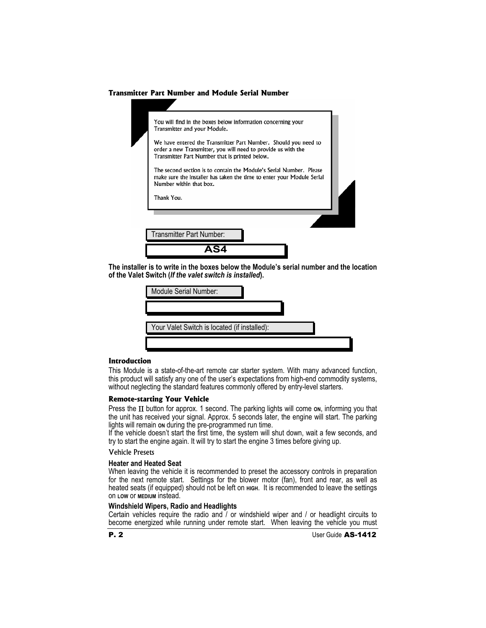## **Transmitter Part Number and Module Serial Number**

| You will find in the boxes below information concerning your<br>Transmitter and your Module.                                                                                       |  |
|------------------------------------------------------------------------------------------------------------------------------------------------------------------------------------|--|
| We have entered the Transmitter Part Number. Should you need to<br>order a new Transmitter, you will need to provide us with the<br>Transmitter Part Number that is printed below. |  |
| The second section is to contain the Module's Serial Number. Please<br>make sure the installer has taken the time to enter your Module Serial<br>Number within that box.           |  |
| Thank You.                                                                                                                                                                         |  |
|                                                                                                                                                                                    |  |
| Transmitter Part Number:                                                                                                                                                           |  |
|                                                                                                                                                                                    |  |

**The installer is to write in the boxes below the Module's serial number and the location of the Valet Switch (***If the valet switch is installed***).**

| Module Serial Number:                        |  |
|----------------------------------------------|--|
|                                              |  |
| Your Valet Switch is located (if installed): |  |
|                                              |  |

#### **Introduction**

This Module is a state-of-the-art remote car starter system. With many advanced function, this product will satisfy any one of the user's expectations from high-end commodity systems, without neglecting the standard features commonly offered by entry-level starters.

#### **Remote-starting Your Vehicle**

Press the II button for approx. 1 second. The parking lights will come on, informing you that the unit has received your signal. Approx. 5 seconds later, the engine will start. The parking lights will remain **ON** during the pre-programmed run time.

If the vehicle doesn't start the first time, the system will shut down, wait a few seconds, and try to start the engine again. It will try to start the engine 3 times before giving up.

## Vehicle Presets

## **Heater and Heated Seat**

When leaving the vehicle it is recommended to preset the accessory controls in preparation for the next remote start. Settings for the blower motor (fan), front and rear, as well as heated seats (if equipped) should not be left on **HIGH.** It is recommended to leave the settings on **LOW** or **MEDIUM** instead.

#### **Windshield Wipers, Radio and Headlights**

Certain vehicles require the radio and  $\overline{\ }$  or windshield wiper and  $\overline{\ }$  or headlight circuits to become energized while running under remote start. When leaving the vehicle you must

**P. 2** User Guide **AS-1412**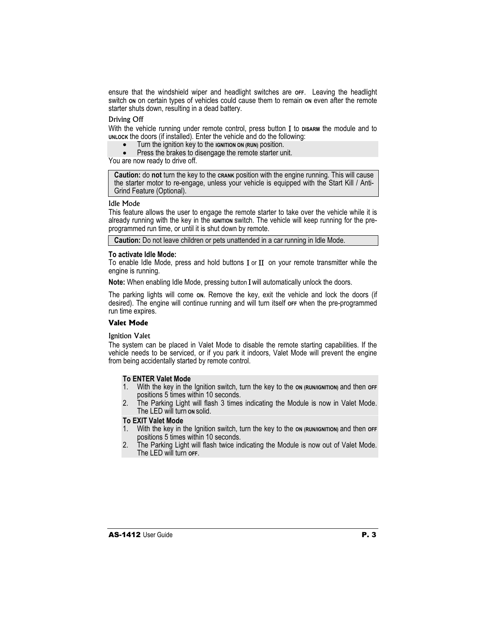ensure that the windshield wiper and headlight switches are **OFF**. Leaving the headlight switch on on certain types of vehicles could cause them to remain on even after the remote starter shuts down, resulting in a dead battery.

#### Driving Off

With the vehicle running under remote control, press button I to **DISARM** the module and to **UNLOCK** the doors (if installed). Enter the vehicle and do the following:

- x Turn the ignition key to the **IGNITION ON (RUN)** position.
- Press the brakes to disengage the remote starter unit.

You are now ready to drive off.

**Caution:** do **not** turn the key to the **CRANK** position with the engine running. This will cause the starter motor to re-engage, unless your vehicle is equipped with the Start Kill / Anti-Grind Feature (Optional).

#### Idle Mode

This feature allows the user to engage the remote starter to take over the vehicle while it is already running with the key in the **IGNITION** switch. The vehicle will keep running for the preprogrammed run time, or until it is shut down by remote.

**Caution:** Do not leave children or pets unattended in a car running in Idle Mode.

## **To activate Idle Mode:**

To enable Idle Mode, press and hold buttons  $I$  or  $II$  on your remote transmitter while the engine is running.

**Note:** When enabling Idle Mode, pressing button **I** will automatically unlock the doors.

The parking lights will come **ON**. Remove the key, exit the vehicle and lock the doors (if desired). The engine will continue running and will turn itself **OFF** when the pre-programmed run time expires.

## **Valet Mode**

## Ignition Valet

The system can be placed in Valet Mode to disable the remote starting capabilities. If the vehicle needs to be serviced, or if you park it indoors, Valet Mode will prevent the engine from being accidentally started by remote control.

## **To ENTER Valet Mode**

- 1. With the key in the Ignition switch, turn the key to the **ON (RUN/IGNITION)** and then **OFF** positions 5 times within 10 seconds.
- 2. The Parking Light will flash 3 times indicating the Module is now in Valet Mode. The LED will turn **ON** solid.

## **To EXIT Valet Mode**

- 1. With the key in the Ignition switch, turn the key to the **ON (RUN/IGNITION)** and then **OFF** positions 5 times within 10 seconds.
- 2. The Parking Light will flash twice indicating the Module is now out of Valet Mode. The LED will turn **OFF**.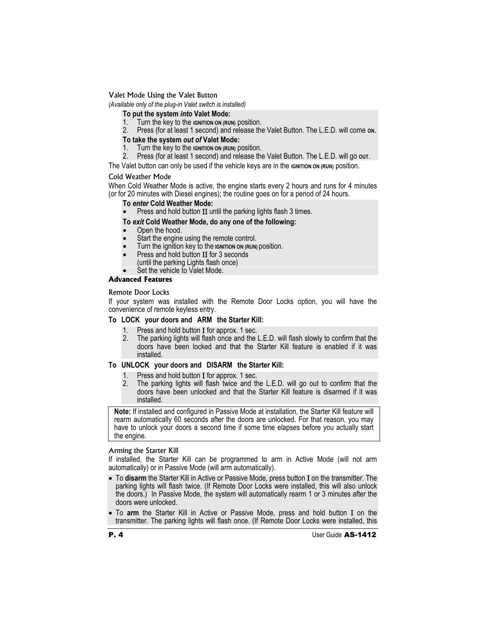Valet Mode Using the Valet Button

*(Available only of the plug-in Valet switch is installed)* 

**To put the system** *into* **Valet Mode:** 

- 1. Turn the key to the **IGNITION ON (RUN)** position.
- 2. Press (for at least 1 second) and release the Valet Button. The L.E.D. will come **ON**.

# **To take the system** *out of* **Valet Mode:**

- 1. Turn the key to the **IGNITION ON (RUN)** position.
- 2. Press (for at least 1 second) and release the Valet Button. The L.E.D. will go **OUT**.

The Valet button can only be used if the vehicle keys are in the **IGNITION ON (RUN)** position.

# Cold Weather Mode

When Cold Weather Mode is active, the engine starts every 2 hours and runs for 4 minutes (or for 20 minutes with Diesel engines); the routine goes on for a period of 24 hours.

# **To** *enter* **Cold Weather Mode:**

Press and hold button  $\Pi$  until the parking lights flash 3 times.

# **To** *exit* **Cold Weather Mode, do any one of the following:**

- Open the hood.
- Start the engine using the remote control.
- x Turn the ignition key to the **IGNITION ON (RUN)** position.
- Press and hold button  $II$  for 3 seconds
- (until the parking Lights flash once)
- Set the vehicle to Valet Mode.

# **Advanced Features**

# Remote Door Locks

If your system was installed with the Remote Door Locks option, you will have the convenience of remote keyless entry.

# **To LOCK your doors and ARM the Starter Kill:**

- 
- 1. Press and hold button  $\overline{I}$  for approx. 1 sec.<br>2. The parking lights will flash once and the 2. The parking lights will flash once and the L.E.D. will flash slowly to confirm that the doors have been locked and that the Starter Kill feature is enabled if it was installed.

# **To UNLOCK your doors and DISARM the Starter Kill:**

- 1. Press and hold button  $I$  for approx. 1 sec.<br>2. The parking lights will flash twice and the
- The parking lights will flash twice and the L.E.D. will go out to confirm that the doors have been unlocked and that the Starter Kill feature is disarmed if it was installed.

**Note:** If installed and configured in Passive Mode at installation, the Starter Kill feature will rearm automatically 60 seconds after the doors are unlocked. For that reason, you may have to unlock your doors a second time if some time elapses before you actually start the engine.

# Arming the Starter Kill

If installed, the Starter Kill can be programmed to arm in Active Mode (will not arm automatically) or in Passive Mode (will arm automatically).

- To disarm the Starter Kill in Active or Passive Mode, press button I on the transmitter. The parking lights will flash twice. (If Remote Door Locks were installed, this will also unlock the doors.) In Passive Mode, the system will automatically rearm 1 or 3 minutes after the doors were unlocked.
- To **arm** the Starter Kill in Active or Passive Mode, press and hold button I on the transmitter. The parking lights will flash once. (If Remote Door Locks were installed, this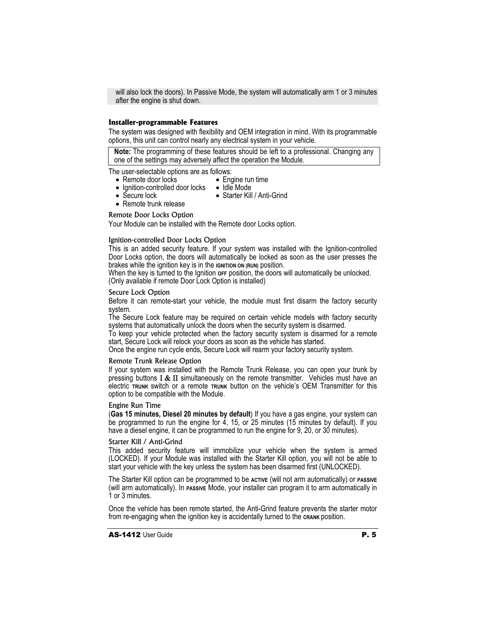will also lock the doors). In Passive Mode, the system will automatically arm 1 or 3 minutes after the engine is shut down.

## **Installer-programmable Features**

The system was designed with flexibility and OEM integration in mind. With its programmable options, this unit can control nearly any electrical system in your vehicle.

**Note:** The programming of these features should be left to a professional. Changing any one of the settings may adversely affect the operation the Module.

The user-selectable options are as follows:

- $\bullet$  Engine run time
- Remote door locks • Ignition-controlled door locks • Idle Mode
	- Starter Kill / Anti-Grind
- $\bullet$  Secure lock • Remote trunk release
- 

#### Remote Door Locks Option

Your Module can be installed with the Remote door Locks option.

#### Ignition-controlled Door Locks Option

This is an added security feature. If your system was installed with the Ignition-controlled Door Locks option, the doors will automatically be locked as soon as the user presses the brakes while the ignition key is in the **IGNITION ON (RUN)** position.

When the key is turned to the Ignition or position, the doors will automatically be unlocked. (Only available if remote Door Lock Option is installed)

#### Secure Lock Option

Before it can remote-start your vehicle, the module must first disarm the factory security system.

The Secure Lock feature may be required on certain vehicle models with factory security systems that automatically unlock the doors when the security system is disarmed.

To keep your vehicle protected when the factory security system is disarmed for a remote start, Secure Lock will relock your doors as soon as the vehicle has started.

Once the engine run cycle ends, Secure Lock will rearm your factory security system.

## Remote Trunk Release Option

If your system was installed with the Remote Trunk Release, you can open your trunk by pressing buttons  $I & II$  simultaneously on the remote transmitter. Vehicles must have an electric **TRUNK** switch or a remote **TRUNK** button on the vehicle's OEM Transmitter for this option to be compatible with the Module.

#### Engine Run Time

(**Gas 15 minutes, Diesel 20 minutes by default**) If you have a gas engine, your system can be programmed to run the engine for  $\overline{4}$ , 15, or 25 minutes (15 minutes by default). If you have a diesel engine, it can be programmed to run the engine for 9, 20, or 30 minutes).

#### Starter Kill / Anti-Grind

This added security feature will immobilize your vehicle when the system is armed (LOCKED). If your Module was installed with the Starter Kill option, you will not be able to start your vehicle with the key unless the system has been disarmed first (UNLOCKED).

The Starter Kill option can be programmed to be ACTIVE (will not arm automatically) or **PASSIVE** (will arm automatically). In **PASSIVE** Mode, your installer can program it to arm automatically in 1 or 3 minutes.

Once the vehicle has been remote started, the Anti-Grind feature prevents the starter motor from re-engaging when the ignition key is accidentally turned to the **CRANK** position.